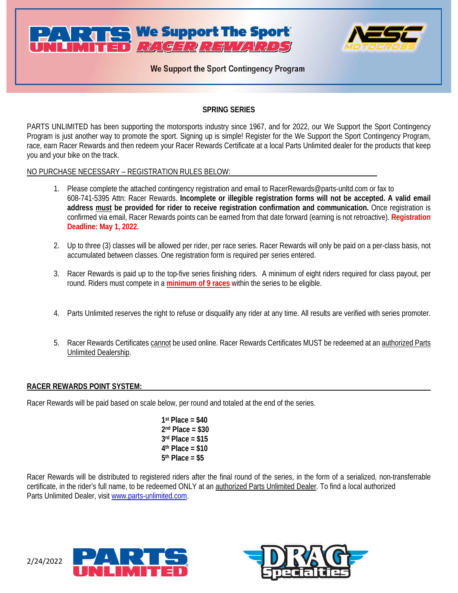



We Support the Sport Contingency Program

# **SPRING SERIES**

PARTS UNLIMITED has been supporting the motorsports industry since 1967, and for 2022, our We Support the Sport Contingency Program is just another way to promote the sport. Signing up is simple! Register for the We Support the Sport Contingency Program, race, earn Racer Rewards and then redeem your Racer Rewards Certificate at a local Parts Unlimited dealer for the products that keep you and your bike on the track.

## NO PURCHASE NECESSARY – REGISTRATION RULES BELOW:

- 1. Please complete the attached contingency registration and email to RacerRewards@parts-unltd.com or fax to 608-741-5395 Attn: Racer Rewards. **Incomplete or illegible registration forms will not be accepted. A valid email address must be provided for rider to receive registration confirmation and communication.** Once registration is confirmed via email, Racer Rewards points can be earned from that date forward (earning is not retroactive). **Registration Deadline: May 1, 2022.**
- 2. Up to three (3) classes will be allowed per rider, per race series. Racer Rewards will only be paid on a per-class basis, not accumulated between classes. One registration form is required per series entered.
- 3. Racer Rewards is paid up to the top-five series finishing riders. A minimum of eight riders required for class payout, per round. Riders must compete in a **minimum of 9 races** within the series to be eligible.
- 4. Parts Unlimited reserves the right to refuse or disqualify any rider at any time. All results are verified with series promoter.
- 5. Racer Rewards Certificates cannot be used online. Racer Rewards Certificates MUST be redeemed at an authorized Parts Unlimited Dealership.

# **RACER REWARDS POINT SYSTEM:**

Racer Rewards will be paid based on scale below, per round and totaled at the end of the series.

**1st Place = \$40 2nd Place = \$30 3rd Place = \$15 4th Place = \$10 5th Place = \$5**

Racer Rewards will be distributed to registered riders after the final round of the series, in the form of a serialized, non-transferrable certificate, in the rider's full name, to be redeemed ONLY at an authorized Parts Unlimited Dealer. To find a local authorized Parts Unlimited Dealer, visit [www.parts-unlimited.com.](http://www.parts-unlimited.com/)